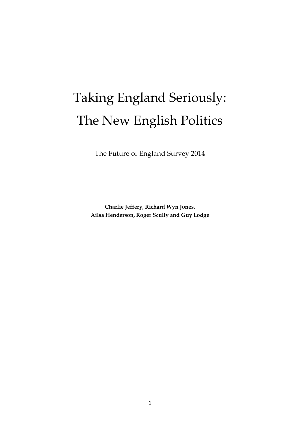# Taking England Seriously: The New English Politics

The Future of England Survey 2014

**Charlie Jeffery, Richard Wyn Jones, Ailsa Henderson, Roger Scully and Guy Lodge**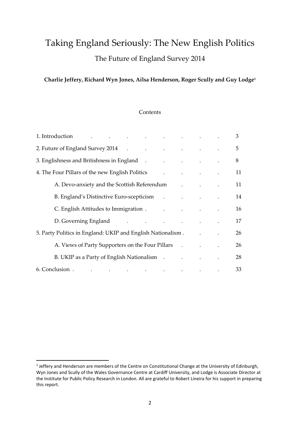# Taking England Seriously: The New English Politics The Future of England Survey 2014

### **Charlie Jeffery, Richard Wyn Jones, Ailsa Henderson, Roger Scully and Guy Lodge<sup>1</sup>**

#### **Contents**

| 1. Introduction and the contract of the contract of the contract of the contract of the contract of the contract of the contract of the contract of the contract of the contract of the contract of the contract of the contra                  |                                     | 3  |
|-------------------------------------------------------------------------------------------------------------------------------------------------------------------------------------------------------------------------------------------------|-------------------------------------|----|
| 2. Future of England Survey 2014 (2014) And Allen Contract August 2014 (2014)                                                                                                                                                                   |                                     | 5  |
| 3. Englishness and Britishness in England (1) The Contract of the Contract of the Contract of the Contract of the Contract of the Contract of the Contract of the Contract of the Contract of the Contract of the Contract of                   |                                     | 8  |
| 4. The Four Pillars of the new English Politics<br>$\ddot{\phantom{0}}$                                                                                                                                                                         | and the contract of the contract of | 11 |
| A. Devo-anxiety and the Scottish Referendum Theory and Theory and the Scottish Referendum                                                                                                                                                       |                                     | 11 |
| B. England's Distinctive Euro-scepticism . The contract of the contract of the contract of the contract of the contract of the contract of the contract of the contract of the contract of the contract of the contract of the                  |                                     | 14 |
| C. English Attitudes to Immigration . The contract of the contract of the contract of the contract of the contract of the contract of the contract of the contract of the contract of the contract of the contract of the cont                  |                                     | 16 |
| D. Governing England (Contract of the contract of the contract of the contract of the contract of the contract of the contract of the contract of the contract of the contract of the contract of the contract of the contract                  |                                     | 17 |
| 5. Party Politics in England: UKIP and English Nationalism.                                                                                                                                                                                     |                                     | 26 |
| A. Views of Party Supporters on the Four Pillars . The contract of Party Supporters on the Four Pillars and A.                                                                                                                                  |                                     | 26 |
| B. UKIP as a Party of English Nationalism . The contract of the set of English Nationalism .                                                                                                                                                    |                                     | 28 |
| 6. Conclusion.<br>. The contract of the contract of the contract of the contract of the contract of the contract of the contract of the contract of the contract of the contract of the contract of the contract of the contract of the contrac |                                     | 33 |

**.** 

<sup>&</sup>lt;sup>1</sup> Jeffery and Henderson are members of the Centre on Constitutional Change at the University of Edinburgh, Wyn Jones and Scully of the Wales Governance Centre at Cardiff University, and Lodge is Associate Director at the Institute for Public Policy Research in London. All are grateful to Robert Lineira for his support in preparing this report.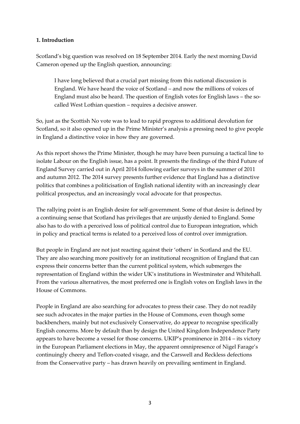#### **1. Introduction**

Scotland's big question was resolved on 18 September 2014. Early the next morning David Cameron opened up the English question, announcing:

I have long believed that a crucial part missing from this national discussion is England. We have heard the voice of Scotland – and now the millions of voices of England must also be heard. The question of English votes for English laws – the socalled West Lothian question – requires a decisive answer.

So, just as the Scottish No vote was to lead to rapid progress to additional devolution for Scotland, so it also opened up in the Prime Minister's analysis a pressing need to give people in England a distinctive voice in how they are governed.

As this report shows the Prime Minister, though he may have been pursuing a tactical line to isolate Labour on the English issue, has a point. It presents the findings of the third Future of England Survey carried out in April 2014 following earlier surveys in the summer of 2011 and autumn 2012. The 2014 survey presents further evidence that England has a distinctive politics that combines a politicisation of English national identity with an increasingly clear political prospectus, and an increasingly vocal advocate for that prospectus.

The rallying point is an English desire for self-government. Some of that desire is defined by a continuing sense that Scotland has privileges that are unjustly denied to England. Some also has to do with a perceived loss of political control due to European integration, which in policy and practical terms is related to a perceived loss of control over immigration.

But people in England are not just reacting against their 'others' in Scotland and the EU. They are also searching more positively for an institutional recognition of England that can express their concerns better than the current political system, which submerges the representation of England within the wider UK's institutions in Westminster and Whitehall. From the various alternatives, the most preferred one is English votes on English laws in the House of Commons.

People in England are also searching for advocates to press their case. They do not readily see such advocates in the major parties in the House of Commons, even though some backbenchers, mainly but not exclusively Conservative, do appear to recognise specifically English concerns. More by default than by design the United Kingdom Independence Party appears to have become a vessel for those concerns. UKIP's prominence in 2014 – its victory in the European Parliament elections in May, the apparent omnipresence of Nigel Farage's continuingly cheery and Teflon-coated visage, and the Carswell and Reckless defections from the Conservative party – has drawn heavily on prevailing sentiment in England.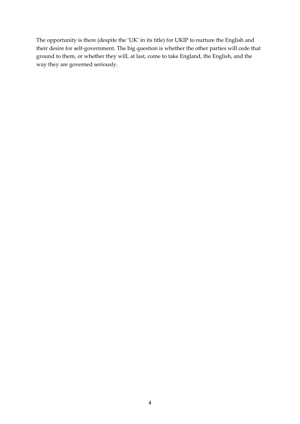The opportunity is there (despite the 'UK' in its title) for UKIP to nurture the English and their desire for self-government. The big question is whether the other parties will cede that ground to them, or whether they will, at last, come to take England, the English, and the way they are governed seriously.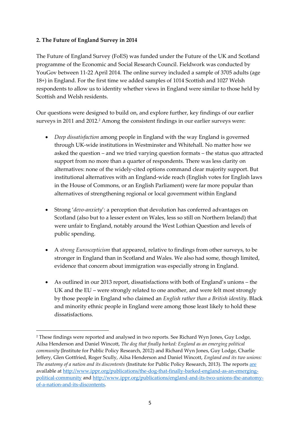#### **2. The Future of England Survey in 2014**

**.** 

The Future of England Survey (FoES) was funded under the Future of the UK and Scotland programme of the Economic and Social Research Council. Fieldwork was conducted by YouGov between 11-22 April 2014. The online survey included a sample of 3705 adults (age 18+) in England. For the first time we added samples of 1014 Scottish and 1027 Welsh respondents to allow us to identity whether views in England were similar to those held by Scottish and Welsh residents.

Our questions were designed to build on, and explore further, key findings of our earlier surveys in 2011 and 2012.<sup>2</sup> Among the consistent findings in our earlier surveys were:

- *Deep dissatisfaction* among people in England with the way England is governed through UK-wide institutions in Westminster and Whitehall. No matter how we asked the question – and we tried varying question formats – the status quo attracted support from no more than a quarter of respondents. There was less clarity on alternatives: none of the widely-cited options command clear majority support. But institutional alternatives with an England-wide reach (English votes for English laws in the House of Commons, or an English Parliament) were far more popular than alternatives of strengthening regional or local government within England
- Strong '*devo-anxiety*': a perception that devolution has conferred advantages on Scotland (also but to a lesser extent on Wales, less so still on Northern Ireland) that were unfair to England, notably around the West Lothian Question and levels of public spending.
- A *strong Euroscepticism* that appeared, relative to findings from other surveys, to be stronger in England than in Scotland and Wales. We also had some, though limited, evidence that concern about immigration was especially strong in England.
- As outlined in our 2013 report, dissatisfactions with both of England's unions the UK and the EU – were strongly related to one another, and were felt most strongly by those people in England who claimed an *English rather than a British identity*. Black and minority ethnic people in England were among those least likely to hold these dissatisfactions.

<sup>2</sup> These findings were reported and analysed in two reports. See Richard Wyn Jones, Guy Lodge, Ailsa Henderson and Daniel Wincott, *The dog that finally barked: England as an emerging political community* (Institute for Public Policy Research, 2012) and Richard Wyn Jones, Guy Lodge, Charlie Jeffery, Glen Gottfried, Roger Scully, Ailsa Henderson and Daniel Wincott, *England and its two unions: The anatomy of a nation and its discontents* (Institute for Public Policy Research, 2013). The reports [are](http://are/) available at [http://www.ippr.org/publications/the-dog-that-finally-barked-england-as-an-emerging](http://www.ippr.org/publications/the-dog-that-finally-barked-england-as-an-emerging-political-community)[political-community](http://www.ippr.org/publications/the-dog-that-finally-barked-england-as-an-emerging-political-community) and [http://www.ippr.org/publications/england-and-its-two-unions-the-anatomy](http://www.ippr.org/publications/england-and-its-two-unions-the-anatomy-of-a-nation-and-its-discontents)[of-a-nation-and-its-discontents.](http://www.ippr.org/publications/england-and-its-two-unions-the-anatomy-of-a-nation-and-its-discontents)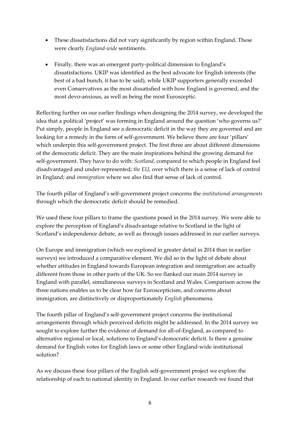- These dissatisfactions did not vary significantly by region within England. These were clearly *England-wide* sentiments.
- Finally, there was an emergent party-political dimension to England's dissatisfactions. UKIP was identified as the best advocate for English interests (the best of a bad bunch, it has to be said), while UKIP supporters generally exceeded even Conservatives as the most dissatisfied with how England is governed, and the most devo-anxious, as well as being the most Eurosceptic.

Reflecting further on our earlier findings when designing the 2014 survey, we developed the idea that a political 'project' was forming in England around the question 'who governs us?' Put simply, people in England see a democratic deficit in the way they are governed and are looking for a remedy in the form of self-government. We believe there are four 'pillars' which underpin this self-government project. The first three are about different dimensions of the democratic deficit. They are the main inspirations behind the growing demand for self-government. They have to do with: *Scotland*, compared to which people in England feel disadvantaged and under-represented; *the EU*, over which there is a sense of lack of control in England; and *immigration* where we also find that sense of lack of control.

The fourth pillar of England's self-government project concerns the *institutional arrangements* through which the democratic deficit should be remedied.

We used these four pillars to frame the questions posed in the 2014 survey. We were able to explore the perception of England's disadvantage relative to Scotland in the light of Scotland's independence debate, as well as through issues addressed in our earlier surveys.

On Europe and immigration (which we explored in greater detail in 2014 than in earlier surveys) we introduced a comparative element. We did so in the light of debate about whether attitudes in England towards European integration and immigration are actually different from those in other parts of the UK. So we flanked our main 2014 survey in England with parallel, simultaneous surveys in Scotland and Wales. Comparison across the three nations enables us to be clear how far Euroscepticism, and concerns about immigration, are distinctively or disproportionately *English* phenomena.

The fourth pillar of England's self-government project concerns the institutional arrangements through which perceived deficits might be addressed. In the 2014 survey we sought to explore further the evidence of demand for all-of-England, as compared to alternative regional or local, solutions to England's democratic deficit. Is there a genuine demand for English votes for English laws or some other England-wide institutional solution?

As we discuss these four pillars of the English self-government project we explore the relationship of each to national identity in England. In our earlier research we found that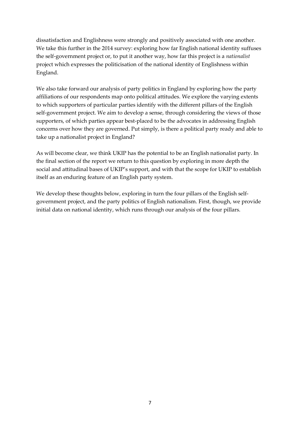dissatisfaction and Englishness were strongly and positively associated with one another. We take this further in the 2014 survey: exploring how far English national identity suffuses the self-government project or, to put it another way, how far this project is a *nationalist* project which expresses the politicisation of the national identity of Englishness within England.

We also take forward our analysis of party politics in England by exploring how the party affiliations of our respondents map onto political attitudes. We explore the varying extents to which supporters of particular parties identify with the different pillars of the English self-government project. We aim to develop a sense, through considering the views of those supporters, of which parties appear best-placed to be the advocates in addressing English concerns over how they are governed. Put simply, is there a political party ready and able to take up a nationalist project in England?

As will become clear, we think UKIP has the potential to be an English nationalist party. In the final section of the report we return to this question by exploring in more depth the social and attitudinal bases of UKIP's support, and with that the scope for UKIP to establish itself as an enduring feature of an English party system.

We develop these thoughts below, exploring in turn the four pillars of the English selfgovernment project, and the party politics of English nationalism. First, though, we provide initial data on national identity, which runs through our analysis of the four pillars.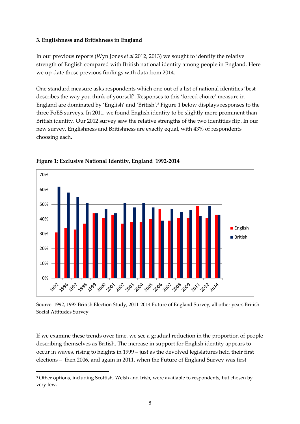#### **3. Englishness and Britishness in England**

In our previous reports (Wyn Jones *et al* 2012, 2013) we sought to identify the relative strength of English compared with British national identity among people in England. Here we up-date those previous findings with data from 2014.

One standard measure asks respondents which one out of a list of national identities 'best describes the way you think of yourself'. Responses to this 'forced choice' measure in England are dominated by 'English' and 'British'.<sup>3</sup> Figure 1 below displays responses to the three FoES surveys. In 2011, we found English identity to be slightly more prominent than British identity. Our 2012 survey saw the relative strengths of the two identities flip. In our new survey, Englishness and Britishness are exactly equal, with 43% of respondents choosing each.



#### **Figure 1: Exclusive National Identity, England 1992-2014**

Source: 1992, 1997 British Election Study, 2011-2014 Future of England Survey, all other years British Social Attitudes Survey

If we examine these trends over time, we see a gradual reduction in the proportion of people describing themselves as British. The increase in support for English identity appears to occur in waves, rising to heights in 1999 – just as the devolved legislatures held their first elections – then 2006, and again in 2011, when the Future of England Survey was first

1

<sup>&</sup>lt;sup>3</sup> Other options, including Scottish, Welsh and Irish, were available to respondents, but chosen by very few.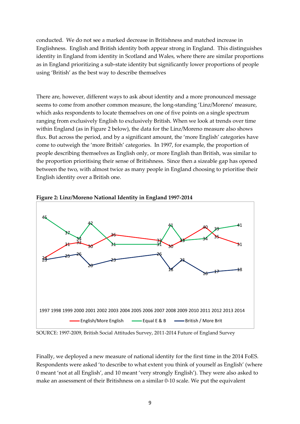conducted. We do not see a marked decrease in Britishness and matched increase in Englishness. English and British identity both appear strong in England. This distinguishes identity in England from identity in Scotland and Wales, where there are similar proportions as in England prioritizing a sub-state identity but significantly lower proportions of people using 'British' as the best way to describe themselves

There are, however, different ways to ask about identity and a more pronounced message seems to come from another common measure, the long-standing 'Linz/Moreno' measure, which asks respondents to locate themselves on one of five points on a single spectrum ranging from exclusively English to exclusively British. When we look at trends over time within England (as in Figure 2 below), the data for the Linz/Moreno measure also shows flux. But across the period, and by a significant amount, the 'more English' categories have come to outweigh the 'more British' categories. In 1997, for example, the proportion of people describing themselves as English only, or more English than British, was similar to the proportion prioritising their sense of Britishness. Since then a sizeable gap has opened between the two, with almost twice as many people in England choosing to prioritise their English identity over a British one.



**Figure 2: Linz/Moreno National Identity in England 1997-2014**

SOURCE: 1997-2009, British Social Attitudes Survey, 2011-2014 Future of England Survey

Finally, we deployed a new measure of national identity for the first time in the 2014 FoES. Respondents were asked 'to describe to what extent you think of yourself as English' (where 0 meant 'not at all English', and 10 meant 'very strongly English'). They were also asked to make an assessment of their Britishness on a similar 0-10 scale. We put the equivalent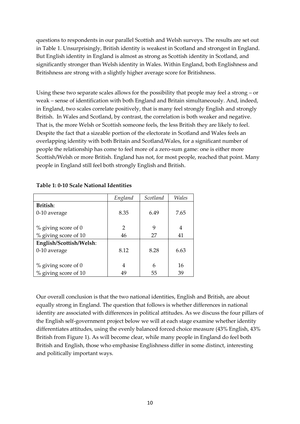questions to respondents in our parallel Scottish and Welsh surveys. The results are set out in Table 1. Unsurprisingly, British identity is weakest in Scotland and strongest in England. But English identity in England is almost as strong as Scottish identity in Scotland, and significantly stronger than Welsh identity in Wales. Within England, both Englishness and Britishness are strong with a slightly higher average score for Britishness.

Using these two separate scales allows for the possibility that people may feel a strong – or weak – sense of identification with both England and Britain simultaneously. And, indeed, in England, two scales correlate positively, that is many feel strongly English and strongly British. In Wales and Scotland, by contrast, the correlation is both weaker and negative. That is, the more Welsh or Scottish someone feels, the less British they are likely to feel. Despite the fact that a sizeable portion of the electorate in Scotland and Wales feels an overlapping identity with both Britain and Scotland/Wales, for a significant number of people the relationship has come to feel more of a zero-sum game: one is either more Scottish/Welsh or more British. England has not, for most people, reached that point. Many people in England still feel both strongly English and British.

|                         | England        | Scotland | Wales |
|-------------------------|----------------|----------|-------|
| British:                |                |          |       |
| 0-10 average            | 8.35           | 6.49     | 7.65  |
|                         |                |          |       |
| $%$ giving score of 0   | $\overline{2}$ | 9        | 4     |
| % giving score of 10    | 46             | 27       | 41    |
| English/Scottish/Welsh: |                |          |       |
| 0-10 average            | 8.12           | 8.28     | 6.63  |
|                         |                |          |       |
| $%$ giving score of 0   | 4              | 6        | 16    |
| % giving score of 10    | 49             | 55       | 39    |

#### **Table 1: 0-10 Scale National Identities**

Our overall conclusion is that the two national identities, English and British, are about equally strong in England. The question that follows is whether differences in national identity are associated with differences in political attitudes. As we discuss the four pillars of the English self-government project below we will at each stage examine whether identity differentiates attitudes, using the evenly balanced forced choice measure (43% English, 43% British from Figure 1). As will become clear, while many people in England do feel both British and English, those who emphasise Englishness differ in some distinct, interesting and politically important ways.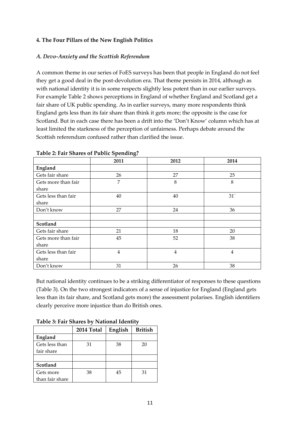#### **4. The Four Pillars of the New English Politics**

#### *A. Devo-Anxiety and the Scottish Referendum*

A common theme in our series of FoES surveys has been that people in England do not feel they get a good deal in the post-devolution era. That theme persists in 2014, although as with national identity it is in some respects slightly less potent than in our earlier surveys. For example Table 2 shows perceptions in England of whether England and Scotland get a fair share of UK public spending. As in earlier surveys, many more respondents think England gets less than its fair share than think it gets more; the opposite is the case for Scotland. But in each case there has been a drift into the 'Don't Know' column which has at least limited the starkness of the perception of unfairness. Perhaps debate around the Scottish referendum confused rather than clarified the issue.

|                     | 2011           | 2012 | 2014 |
|---------------------|----------------|------|------|
| England             |                |      |      |
| Gets fair share     | 26             | 27   | 25   |
| Gets more than fair | 7              | 8    | 8    |
| share               |                |      |      |
| Gets less than fair | 40             | 40   | 31'  |
| share               |                |      |      |
| Don't know          | 27             | 24   | 36   |
|                     |                |      |      |
| Scotland            |                |      |      |
| Gets fair share     | 21             | 18   | 20   |
| Gets more than fair | 45             | 52   | 38   |
| share               |                |      |      |
| Gets less than fair | $\overline{4}$ | 4    | 4    |
| share               |                |      |      |
| Don't know          | 31             | 26   | 38   |

|  | Table 2: Fair Shares of Public Spending? |  |  |
|--|------------------------------------------|--|--|
|  |                                          |  |  |

But national identity continues to be a striking differentiator of responses to these questions (Table 3). On the two strongest indicators of a sense of injustice for England (England gets less than its fair share, and Scotland gets more) the assessment polarises. English identifiers clearly perceive more injustice than do British ones.

| Table 5: Pall Shares by National Identity |                |    |    |  |  |  |
|-------------------------------------------|----------------|----|----|--|--|--|
|                                           | <b>British</b> |    |    |  |  |  |
| England                                   |                |    |    |  |  |  |
| Gets less than                            | 31             | 38 | 20 |  |  |  |
| fair share                                |                |    |    |  |  |  |
|                                           |                |    |    |  |  |  |
| Scotland                                  |                |    |    |  |  |  |
| Gets more                                 | 38             | 45 | 31 |  |  |  |
| than fair share                           |                |    |    |  |  |  |

**Table 3: Fair Shares by National Identity**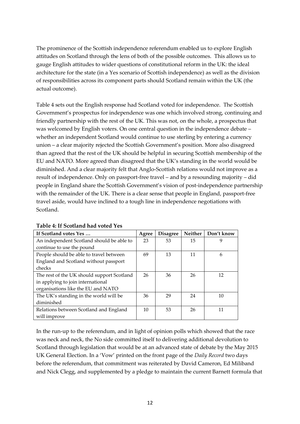The prominence of the Scottish independence referendum enabled us to explore English attitudes on Scotland through the lens of both of the possible outcomes. This allows us to gauge English attitudes to wider questions of constitutional reform in the UK: the ideal architecture for the state (in a Yes scenario of Scottish independence) as well as the division of responsibilities across its component parts should Scotland remain within the UK (the actual outcome).

Table 4 sets out the English response had Scotland voted for independence. The Scottish Government's prospectus for independence was one which involved strong, continuing and friendly partnership with the rest of the UK. This was not, on the whole, a prospectus that was welcomed by English voters. On one central question in the independence debate – whether an independent Scotland would continue to use sterling by entering a currency union – a clear majority rejected the Scottish Government's position. More also disagreed than agreed that the rest of the UK should be helpful in securing Scottish membership of the EU and NATO. More agreed than disagreed that the UK's standing in the world would be diminished. And a clear majority felt that Anglo-Scottish relations would not improve as a result of independence. Only on passport-free travel – and by a resounding majority – did people in England share the Scottish Government's vision of post-independence partnership with the remainder of the UK. There is a clear sense that people in England, passport-free travel aside, would have inclined to a tough line in independence negotiations with Scotland.

| If Scotland votes Yes                      | Agree | <b>Disagree</b> | Neither | Don't know |
|--------------------------------------------|-------|-----------------|---------|------------|
| An independent Scotland should be able to  | 23    | 53              | 15      | 9          |
| continue to use the pound                  |       |                 |         |            |
| People should be able to travel between    | 69    | 13              | 11      | 6          |
| England and Scotland without passport      |       |                 |         |            |
| checks                                     |       |                 |         |            |
| The rest of the UK should support Scotland | 26    | 36              | 26      | 12         |
| in applying to join international          |       |                 |         |            |
| organisations like the EU and NATO         |       |                 |         |            |
| The UK's standing in the world will be     | 36    | 29              | 24      | 10         |
| diminished                                 |       |                 |         |            |
| Relations between Scotland and England     | 10    | 53              | 26      | 11         |
| will improve                               |       |                 |         |            |

#### **Table 4: If Scotland had voted Yes**

In the run-up to the referendum, and in light of opinion polls which showed that the race was neck and neck, the No side committed itself to delivering additional devolution to Scotland through legislation that would be at an advanced state of debate by the May 2015 UK General Election. In a 'Vow' printed on the front page of the *Daily Record* two days before the referendum, that commitment was reiterated by David Cameron, Ed Miliband and Nick Clegg, and supplemented by a pledge to maintain the current Barnett formula that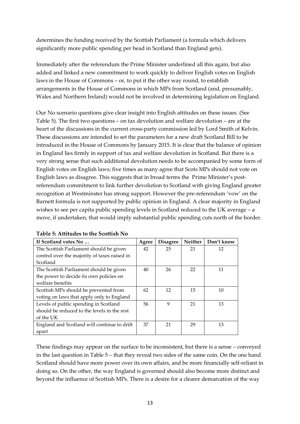determines the funding received by the Scottish Parliament (a formula which delivers significantly more public spending per head in Scotland than England gets).

Immediately after the referendum the Prime Minister underlined all this again, but also added and linked a new commitment to work quickly to deliver English votes on English laws in the House of Commons – or, to put it the other way round, to establish arrangements in the House of Commons in which MPs from Scotland (and, presumably, Wales and Northern Ireland) would not be involved in determining legislation on England.

Our No scenario questions give clear insight into English attitudes on these issues. (See Table 5). The first two questions – on tax devolution and welfare devolution – are at the heart of the discussions in the current cross-party commission led by Lord Smith of Kelvin. These discussions are intended to set the parameters for a new draft Scotland Bill to be introduced in the House of Commons by January 2015. It is clear that the balance of opinion in England lies firmly in support of tax and welfare devolution in Scotland. But there is a very strong sense that such additional devolution needs to be accompanied by some form of English votes on English laws; five times as many agree that Scots MPs should not vote on English laws as disagree. This suggests that in broad terms the Prime Minister's postreferendum commitment to link further devolution to Scotland with giving England greater recognition at Westminster has strong support. However the pre-referendum 'vow' on the Barnett formula is not supported by public opinion in England. A clear majority in England wishes to see per capita public spending levels in Scotland reduced to the UK average – a move, if undertaken, that would imply substantial public spending cuts north of the border.

| If Scotland votes No                         | Agree | <b>Disagree</b> | <b>Neither</b> | Don't know |
|----------------------------------------------|-------|-----------------|----------------|------------|
| The Scottish Parliament should be given      | 42    | 25              | 21             | 12         |
| control over the majority of taxes raised in |       |                 |                |            |
| Scotland                                     |       |                 |                |            |
| The Scottish Parliament should be given      | 40    | 26              | 22             | 11         |
| the power to decide its own policies on      |       |                 |                |            |
| welfare benefits                             |       |                 |                |            |
| Scottish MPs should be prevented from        | 62    | 12              | 15             | 10         |
| voting on laws that apply only to England    |       |                 |                |            |
| Levels of public spending in Scotland        | 56    | 9               | 21             | 13         |
| should be reduced to the levels in the rest  |       |                 |                |            |
| of the UK                                    |       |                 |                |            |
| England and Scotland will continue to drift  | 37    | 21              | 29             | 13         |
| apart                                        |       |                 |                |            |

These findings may appear on the surface to be inconsistent, but there is a sense – conveyed in the last question in Table 5 – that they reveal two sides of the same coin. On the one hand Scotland should have more power over its own affairs, and be more financially self-reliant in doing so. On the other, the way England is governed should also become more distinct and beyond the influence of Scottish MPs. There is a desire for a clearer demarcation of the way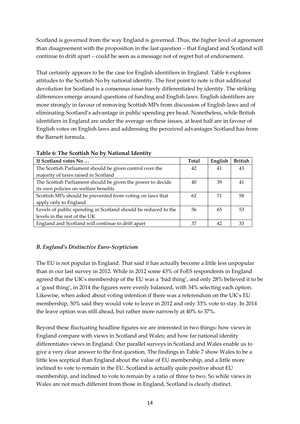Scotland is governed from the way England is governed. Thus, the higher level of agreement than disagreement with the proposition in the last question – that England and Scotland will continue to drift apart – could be seen as a message not of regret but of endorsement.

That certainly appears to be the case for English identifiers in England. Table 6 explores attitudes to the Scottish No by national identity. The first point to note is that additional devolution for Scotland is a consensus issue barely differentiated by identity. The striking differences emerge around questions of funding and English laws. English identifiers are more strongly in favour of removing Scottish MPs from discussion of English laws and of eliminating Scotland's advantage in public spending per head. Nonetheless, while British identifiers in England are under the average on these issues, at least half are in favour of English votes on English laws and addressing the perceived advantages Scotland has from the Barnett formula.

| If Scotland votes No                                           | <b>Total</b> | English | <b>British</b> |
|----------------------------------------------------------------|--------------|---------|----------------|
| The Scottish Parliament should be given control over the       | 42           | 41      | 43             |
| majority of taxes raised in Scotland                           |              |         |                |
| The Scottish Parliament should be given the power to decide    | 40           | 39      | 41             |
| its own policies on welfare benefits                           |              |         |                |
| Scottish MPs should be prevented from voting on laws that      | 62           | 71      | 58             |
| apply only to England                                          |              |         |                |
| Levels of public spending in Scotland should be reduced to the | 56           | 65      | 53             |
| levels in the rest of the UK                                   |              |         |                |
| England and Scotland will continue to drift apart              | 37           | 42      | 33             |

**Table 6: The Scottish No by National Identity**

## *B. England's Distinctive Euro-Scepticism*

The EU is not popular in England. That said it has actually become a little less unpopular than in our last survey in 2012. While in 2012 some 43% of FoES respondents in England agreed that the UK's membership of the EU was a 'bad thing', and only 28% believed it to be a 'good thing', in 2014 the figures were evenly balanced, with 34% selecting each option. Likewise, when asked about voting intention if there was a referendum on the UK's EU membership, 50% said they would vote to leave in 2012 and only 33% vote to stay. In 2014 the leave option was still ahead, but rather more narrowly at 40% to 37%.

Beyond these fluctuating headline figures we are interested in two things: how views in England compare with views in Scotland and Wales; and how far national identity differentiates views in England. Our parallel surveys in Scotland and Wales enable us to give a very clear answer to the first question. The findings in Table 7 show Wales to be a little less sceptical than England about the value of EU membership, and a little more inclined to vote to remain in the EU. Scotland is actually quite positive about EU membership, and inclined to vote to remain by a ratio of three to two. So while views in Wales are not much different from those in England, Scotland is clearly distinct.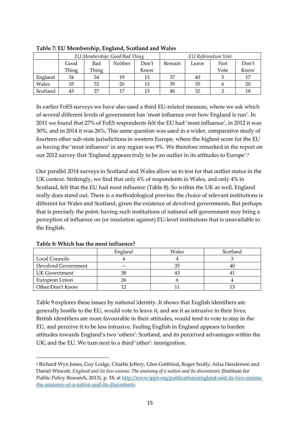|          | EU Membership: Good/Bad Thing |       |         | EU Referendum Vote |        |       |      |       |
|----------|-------------------------------|-------|---------|--------------------|--------|-------|------|-------|
|          | Good                          | Bad   | Neither | Don't              | Remain | Leave | Not  | Don't |
|          | Thing                         | Thing |         | Know               |        |       | Vote | Know  |
| England  | 34                            | 34    | 19      | 13                 | 37     | 40    |      | 17    |
| Wales    | 35                            | 32    | 20      | 13                 | 39     | 35    |      | 20    |
| Scotland | 43                            | 27    | 17      | 13                 | 48     | 32    |      | 18    |

**Table 7: EU Membership, England, Scotland and Wales**

In earlier FoES surveys we have also used a third EU-related measure, where we ask which of several different levels of government has 'most influence over how England is run'. In 2011 we found that 27% of FoES respondents felt the EU had 'most influence', in 2012 it was 30%, and in 2014 it was 26%. This same question was used in a wider, comparative study of fourteen other sub-state jurisdictions in western Europe, where the highest score for the EU as having the 'most influence' in any region was 9%. We therefore remarked in the report on our 2012 survey that 'England appears truly to be an outlier in its attitudes to Europe'. 4

Our parallel 2014 surveys in Scotland and Wales allow us to test for that outlier status in the UK context. Strikingly, we find that only 6% of respondents in Wales, and only 4% in Scotland, felt that the EU had most influence (Table 8). So within the UK as well, England really does stand out. There is a methodological proviso: the choice of relevant institutions is different for Wales and Scotland, given the existence of devolved governments. But perhaps that is precisely the point: having such institutions of national self-government may bring a perception of influence on (or insulation against) EU-level institutions that is unavailable to the English.

|                     | England | Wales | Scotland |
|---------------------|---------|-------|----------|
| Local Councils      |         |       |          |
| Devolved Government | $-$     | 35    |          |
| UK Government       | 58      |       |          |
| European Union      | 26      |       |          |
| Other/Don't Know    |         |       |          |

**Table 8: Which has the most influence?**

1

Table 9 explores these issues by national identity. It shows that English identifiers are generally hostile to the EU, would vote to leave it, and see it as intrusive in their lives; British identifiers are more favourable in their attitudes, would tend to vote to stay in the EU, and perceive it to be less intrusive. Feeling English in England appears to harden attitudes towards England's two 'others': Scotland, and its perceived advantages within the UK; and the EU. We turn next to a third 'other': immigration.

<sup>4</sup> Richard Wyn Jones, Guy Lodge, Charlie Jeffery, Glen Gottfried, Roger Scully, Ailsa Henderson and Daniel Wincott, *England and its two unions: The anatomy of a nation and its discontents* (Institute for Public Policy Research, 2013), p. 18, at [http://www.ippr.org/publications/england-and-its-two-unions](http://www.ippr.org/publications/england-and-its-two-unions-the-anatomy-of-a-nation-and-its-discontents)[the-anatomy-of-a-nation-and-its-discontents.](http://www.ippr.org/publications/england-and-its-two-unions-the-anatomy-of-a-nation-and-its-discontents)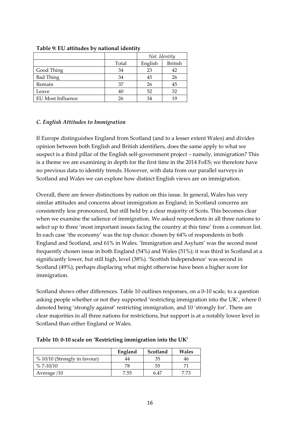|                   |       | Nat. Identity |                |  |  |
|-------------------|-------|---------------|----------------|--|--|
|                   | Total | English       | <b>British</b> |  |  |
| Good Thing        | 34    | 23            | 42             |  |  |
| <b>Bad Thing</b>  | 34    | 45            | 26             |  |  |
| Remain            | 37    | 26            | 45             |  |  |
| Leave             | 40    | 52            | 32             |  |  |
| EU Most Influence | 26    | 34            | 19             |  |  |

#### **Table 9: EU attitudes by national identity**

#### *C. English Attitudes to Immigration*

If Europe distinguishes England from Scotland (and to a lesser extent Wales) and divides opinion between both English and British identifiers, does the same apply to what we suspect is a third pillar of the English self-government project – namely, immigration? This is a theme we are examining in depth for the first time in the 2014 FoES; we therefore have no previous data to identify trends. However, with data from our parallel surveys in Scotland and Wales we can explore how distinct English views are on immigration.

Overall, there are fewer distinctions by nation on this issue. In general, Wales has very similar attitudes and concerns about immigration as England; in Scotland concerns are consistently less pronounced, but still held by a clear majority of Scots. This becomes clear when we examine the salience of immigration. We asked respondents in all three nations to select up to three 'most important issues facing the country at this time' from a common list. In each case 'the economy' was the top choice: chosen by 64% of respondents in both England and Scotland, and 61% in Wales. 'Immigration and Asylum' was the second most frequently chosen issue in both England (54%) and Wales (51%); it was third in Scotland at a significantly lower, but still high, level (38%). 'Scottish Independence' was second in Scotland (49%), perhaps displacing what might otherwise have been a higher score for immigration.

Scotland shows other differences. Table 10 outlines responses, on a 0-10 scale, to a question asking people whether or not they supported 'restricting immigration into the UK', where 0 denoted being 'strongly against' restricting immigration, and 10 'strongly for'. There are clear majorities in all three nations for restrictions, but support is at a notably lower level in Scotland than either England or Wales.

|                              | England | Scotland | Wales |
|------------------------------|---------|----------|-------|
| % 10/10 (Strongly in favour) | 44      | 35       | 40    |
| $\%$ 7-10/10                 | 78      | 55       |       |
| Average /10                  | '.55    | 6.47     |       |

**Table 10: 0-10 scale on 'Restricting immigration into the UK'**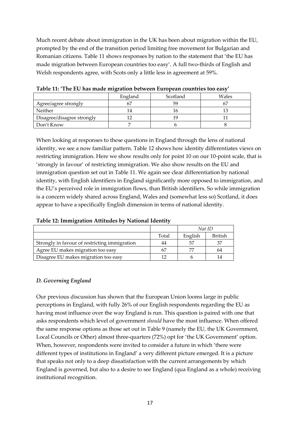Much recent debate about immigration in the UK has been about migration within the EU, prompted by the end of the transition period limiting free movement for Bulgarian and Romanian citizens. Table 11 shows responses by nation to the statement that 'the EU has made migration between European countries too easy'. A full two-thirds of English and Welsh respondents agree, with Scots only a little less in agreement at 59%.

|                            | ັ       |          |       |
|----------------------------|---------|----------|-------|
|                            | England | Scotland | Wales |
| Agree/agree strongly       |         | 59       |       |
| Neither                    |         |          |       |
| Disagree/disagree strongly |         | 1 C      |       |
| Don't Know                 |         |          |       |

**Table 11: 'The EU has made migration between European countries too easy'**

When looking at responses to these questions in England through the lens of national identity, we see a now familiar pattern. Table 12 shows how identity differentiates views on restricting immigration. Here we show results only for point 10 on our 10-point scale, that is 'strongly in favour' of restricting immigration. We also show results on the EU and immigration question set out in Table 11. We again see clear differentiation by national identity, with English identifiers in England significantly more opposed to immigration, and the EU's perceived role in immigration flows, than British identifiers. So while immigration is a concern widely shared across England, Wales and (somewhat less so) Scotland, it does appear to have a specifically English dimension in terms of national identity.

| Table 12: Immigration Attitudes by National Identity |  |  |
|------------------------------------------------------|--|--|
|                                                      |  |  |

|                                               |       | Nat ID  |         |  |
|-----------------------------------------------|-------|---------|---------|--|
|                                               | Total | English | British |  |
| Strongly in favour of restricting immigration | 44    | .57     | 37      |  |
| Agree EU makes migration too easy             | 67    |         | 64      |  |
| Disagree EU makes migration too easy          |       |         | 14      |  |

#### *D. Governing England*

Our previous discussion has shown that the European Union looms large in public perceptions in England, with fully 26% of our English respondents regarding the EU as having most influence over the way England is run. This question is paired with one that asks respondents which level of government *should* have the most influence. When offered the same response options as those set out in Table 9 (namely the EU, the UK Government, Local Councils or Other) almost three-quarters (72%) opt for 'the UK Government' option. When, however, respondents were invited to consider a future in which 'there were different types of institutions in England' a very different picture emerged. It is a picture that speaks not only to a deep dissatisfaction with the current arrangements by which England is governed, but also to a desire to see England (qua England as a whole) receiving institutional recognition.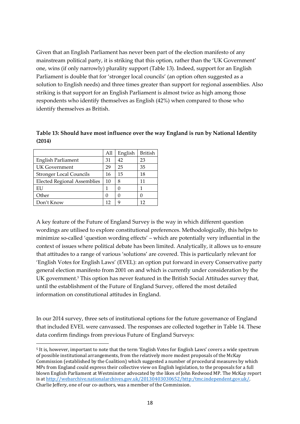Given that an English Parliament has never been part of the election manifesto of any mainstream political party, it is striking that this option, rather than the 'UK Government' one, wins (if only narrowly) plurality support (Table 13). Indeed, support for an English Parliament is double that for 'stronger local councils' (an option often suggested as a solution to English needs) and three times greater than support for regional assemblies. Also striking is that support for an English Parliament is almost twice as high among those respondents who identify themselves as English (42%) when compared to those who identify themselves as British.

**Table 13: Should have most influence over the way England is run by National Identity (2014)**

|                                    | All | English | <b>British</b> |
|------------------------------------|-----|---------|----------------|
| <b>English Parliament</b>          | 31  | 42      | 23             |
| <b>UK Government</b>               | 29  | 25      | 35             |
| <b>Stronger Local Councils</b>     | 16  | 15      | 18             |
| <b>Elected Regional Assemblies</b> | 10  | 8       | 11             |
| EU                                 | 1   |         |                |
| Other                              | U   |         |                |
| Don't Know                         | 12  | 9       | 12             |

1

A key feature of the Future of England Survey is the way in which different question wordings are utilised to explore constitutional preferences. Methodologically, this helps to minimize so-called 'question wording effects' – which are potentially very influential in the context of issues where political debate has been limited. Analytically, it allows us to ensure that attitudes to a range of various 'solutions' are covered. This is particularly relevant for 'English Votes for English Laws' (EVEL): an option put forward in every Conservative party general election manifesto from 2001 on and which is currently under consideration by the UK government.<sup>5</sup> This option has never featured in the British Social Attitudes survey that, until the establishment of the Future of England Survey, offered the most detailed information on constitutional attitudes in England.

In our 2014 survey, three sets of institutional options for the future governance of England that included EVEL were canvassed. The responses are collected together in Table 14. These data confirm findings from previous Future of England Surveys:

<sup>5</sup> It is, however, important to note that the term 'English Votes for English Laws' covers a wide spectrum of possible institutional arrangements, from the relatively more modest proposals of the McKay Commission (established by the Coalition) which suggested a number of procedural measures by which MPs from England could express their collective view on English legislation, to the proposals for a full blown English Parliament at Westminster advocated by the likes of John Redwood MP. The McKay report is a[t http://webarchive.nationalarchives.gov.uk/20130403030652/http:/tmc.independent.gov.uk/.](http://webarchive.nationalarchives.gov.uk/20130403030652/http:/tmc.independent.gov.uk/) Charlie Jeffery, one of our co-authors, was a member of the Commission.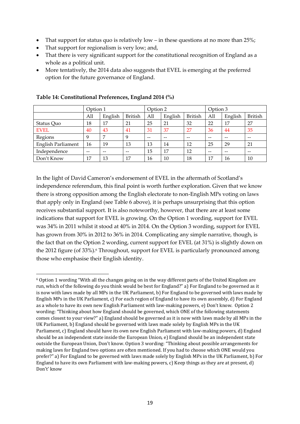- That support for status quo is relatively  $low in$  these questions at no more than 25%;
- That support for regionalism is very low; and,
- That there is very significant support for the constitutional recognition of England as a whole as a political unit.
- More tentatively, the 2014 data also suggests that EVEL is emerging at the preferred option for the future governance of England.

|                           | Option 1 |         |                | Option 2 |         |                | Option 3 |         |                |
|---------------------------|----------|---------|----------------|----------|---------|----------------|----------|---------|----------------|
|                           | All      | English | <b>British</b> | All      | English | <b>British</b> | All      | English | <b>British</b> |
| Status Quo                | 18       | 17      | 21             | 25       | 21      | 32             | 22       | 17      | 27             |
| <b>EVEL</b>               | 40       | 43      | 41             | 31       | 37      | 27             | 36       | 44      | 35             |
| Regions                   | 9        | 7       | 9              | $-$      | $- -$   | --             | $-$      | $-$     | $- -$          |
| <b>English Parliament</b> | 16       | 19      | 13             | 13       | 14      | 12             | 25       | 29      | 21             |
| Independence              | $- -$    | --      | --             | 15       | 17      | 12             | $- -$    | --      | --             |
| Don't Know                | 17       | 13      | 17             | 16       | 10      | 18             | 17       | 16      | 10             |

#### **Table 14: Constitutional Preferences, England 2014 (%)**

In the light of David Cameron's endorsement of EVEL in the aftermath of Scotland's independence referendum, this final point is worth further exploration. Given that we know there is strong opposition among the English electorate to non-English MPs voting on laws that apply only in England (see Table 6 above), it is perhaps unsurprising that this option receives substantial support. It is also noteworthy, however, that there are at least some indications that support for EVEL is growing. On the Option 1 wording, support for EVEL was 34% in 2011 whilst it stood at 40% in 2014. On the Option 3 wording, support for EVEL has grown from 30% in 2012 to 36% in 2014. Complicating any simple narrative, though, is the fact that on the Option 2 wording, current support for EVEL (at 31%) is slightly down on the 2012 figure (of 33%).<sup>6</sup> Throughout, support for EVEL is particularly pronounced among those who emphasise their English identity.

**<sup>.</sup>** <sup>6</sup> Option 1 wording "With all the changes going on in the way different parts of the United Kingdom are run, which of the following do you think would be best for England?" a) For England to be governed as it is now with laws made by all MPs in the UK Parliament, b) For England to be governed with laws made by English MPs in the UK Parliament, c) For each region of England to have its own assembly, d) For England as a whole to have its own new English Parliament with law-making powers, e) Don't know. Option 2 wording: "Thinking about how England should be governed, which ONE of the following statements comes closest to your view?" a) England should be governed as it is now with laws made by all MPs in the UK Parliament, b) England should be governed with laws made solely by English MPs in the UK Parliament, c) England should have its own new English Parliament with law-making powers, d) England should be an independent state inside the European Union, e) England should be an independent state outside the European Union, Don't know. Option 3 wording: "Thinking about possible arrangements for making laws for England two options are often mentioned. If you had to choose which ONE would you prefer?" a) For England to be governed with laws made solely by English MPs in the UK Parliament, b) For England to have its own Parliament with law-making powers, c) Keep things as they are at present, d) Don't' know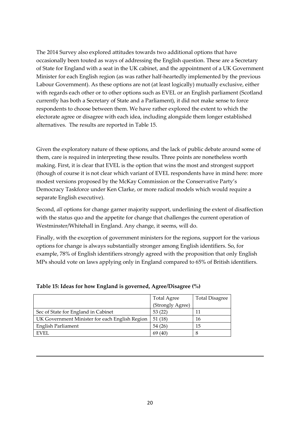The 2014 Survey also explored attitudes towards two additional options that have occasionally been touted as ways of addressing the English question. These are a Secretary of State for England with a seat in the UK cabinet, and the appointment of a UK Government Minister for each English region (as was rather half-heartedly implemented by the previous Labour Government). As these options are not (at least logically) mutually exclusive, either with regards each other or to other options such as EVEL or an English parliament (Scotland currently has both a Secretary of State and a Parliament), it did not make sense to force respondents to choose between them. We have rather explored the extent to which the electorate agree or disagree with each idea, including alongside them longer established alternatives. The results are reported in Table 15.

Given the exploratory nature of these options, and the lack of public debate around some of them, care is required in interpreting these results. Three points are nonetheless worth making. First, it is clear that EVEL is the option that wins the most and strongest support (though of course it is not clear which variant of EVEL respondents have in mind here: more modest versions proposed by the McKay Commission or the Conservative Party's Democracy Taskforce under Ken Clarke, or more radical models which would require a separate English executive).

Second, *all* options for change garner majority support, underlining the extent of disaffection with the status quo and the appetite for change that challenges the current operation of Westminster/Whitehall in England. Any change, it seems, will do.

Finally, with the exception of government ministers for the regions, support for the various options for change is always substantially stronger among English identifiers. So, for example, 78% of English identifiers strongly agreed with the proposition that only English MPs should vote on laws applying only in England compared to 65% of British identifiers.

|                                                | <b>Total Agree</b> | <b>Total Disagree</b> |
|------------------------------------------------|--------------------|-----------------------|
|                                                | (Strongly Agree)   |                       |
| Sec of State for England in Cabinet            | 53(22)             |                       |
| UK Government Minister for each English Region | 51(18)             | 16                    |
| <b>English Parliament</b>                      | 54 (26)            | 15                    |
| <b>EVEL</b>                                    | 69 (40)            | ŏ                     |

**Table 15: Ideas for how England is governed, Agree/Disagree (%)**

**.**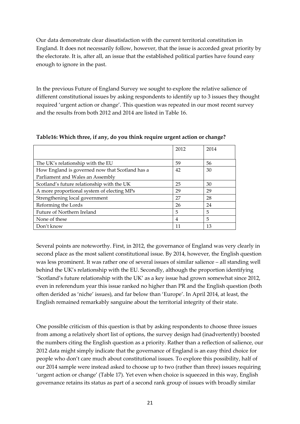Our data demonstrate clear dissatisfaction with the current territorial constitution in England. It does not necessarily follow, however, that the issue is accorded great priority by the electorate. It is, after all, an issue that the established political parties have found easy enough to ignore in the past.

In the previous Future of England Survey we sought to explore the relative salience of different constitutional issues by asking respondents to identify up to 3 issues they thought required 'urgent action or change'. This question was repeated in our most recent survey and the results from both 2012 and 2014 are listed in Table 16.

|                                                 | 2012 | 2014 |
|-------------------------------------------------|------|------|
|                                                 |      |      |
| The UK's relationship with the EU               | 59   | 56   |
| How England is governed now that Scotland has a | 42   | 30   |
| Parliament and Wales an Assembly                |      |      |
| Scotland's future relationship with the UK      | 25   | 30   |
| A more proportional system of electing MPs      | 29   | 29   |
| Strengthening local government                  | 27   | 28   |
| Reforming the Lords                             | 26   | 24   |
| Future of Northern Ireland                      | 5    | 5    |
| None of these                                   | 4    | 5    |
| Don't know                                      | 11   | 13   |

**Table16: Which three, if any, do you think require urgent action or change?**

Several points are noteworthy. First, in 2012, the governance of England was very clearly in second place as the most salient constitutional issue. By 2014, however, the English question was less prominent. It was rather one of several issues of similar salience – all standing well behind the UK's relationship with the EU. Secondly, although the proportion identifying 'Scotland's future relationship with the UK' as a key issue had grown somewhat since 2012, even in referendum year this issue ranked no higher than PR and the English question (both often derided as 'niche' issues), and far below than 'Europe'. In April 2014, at least, the English remained remarkably sanguine about the territorial integrity of their state.

One possible criticism of this question is that by asking respondents to choose three issues from among a relatively short list of options, the survey design had (inadvertently) boosted the numbers citing the English question as a priority. Rather than a reflection of salience, our 2012 data might simply indicate that the governance of England is an easy third choice for people who don't care much about constitutional issues. To explore this possibility, half of our 2014 sample were instead asked to choose up to two (rather than three) issues requiring 'urgent action or change' (Table 17). Yet even when choice is squeezed in this way, English governance retains its status as part of a second rank group of issues with broadly similar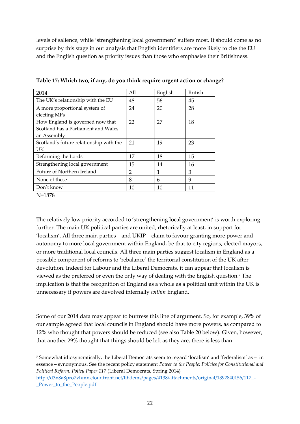levels of salience, while 'strengthening local government' suffers most. It should come as no surprise by this stage in our analysis that English identifiers are more likely to cite the EU and the English question as priority issues than those who emphasise their Britishness.

| 2014                                    | All           | English | British |
|-----------------------------------------|---------------|---------|---------|
| The UK's relationship with the EU       | 48            | 56      | 45      |
| A more proportional system of           | 24            | 20      | 28      |
| electing MPs                            |               |         |         |
| How England is governed now that        | 22            | 27      | 18      |
| Scotland has a Parliament and Wales     |               |         |         |
| an Assembly                             |               |         |         |
| Scotland's future relationship with the | 21            | 19      | 23      |
| <b>UK</b>                               |               |         |         |
| Reforming the Lords                     | 17            | 18      | 15      |
| Strengthening local government          | 15            | 14      | 16      |
| Future of Northern Ireland              | $\mathcal{P}$ | 1       | 3       |
| None of these                           | 8             | 6       | 9       |
| Don't know                              | 10            | 10      | 11      |

**Table 17: Which two, if any, do you think require urgent action or change?** 

N=1878

 $\overline{a}$ 

The relatively low priority accorded to 'strengthening local government' is worth exploring further. The main UK political parties are united, rhetorically at least, in support for 'localism'. All three main parties – and UKIP – claim to favour granting more power and autonomy to more local government within England, be that to city regions, elected mayors, or more traditional local councils. All three main parties suggest localism in England as a possible component of reforms to 'rebalance' the territorial constitution of the UK after devolution. Indeed for Labour and the Liberal Democrats, it can appear that localism is viewed as the preferred or even the only way of dealing with the English question.<sup>7</sup> The implication is that the recognition of England as a whole as a political unit within the UK is unnecessary if powers are devolved internally *within* England.

Some of our 2014 data may appear to buttress this line of argument. So, for example, 39% of our sample agreed that local councils in England should have more powers, as compared to 12% who thought that powers should be reduced (see also Table 20 below). Given, however, that another 29% thought that things should be left as they are, there is less than

<sup>7</sup> Somewhat idiosyncratically, the Liberal Democrats seem to regard 'localism' and 'federalism' as – in essence – synonymous. See the recent policy statement *Power to the People: Policies for Constitutional and Political Reform. Policy Paper 117* (Liberal Democrats, Spring 2014)

[http://d3n8a8pro7vhmx.cloudfront.net/libdems/pages/4138/attachments/original/1392840156/117\\_-](http://d3n8a8pro7vhmx.cloudfront.net/libdems/pages/4138/attachments/original/1392840156/117_-_Power_to_the_People.pdf) Power to the People.pdf.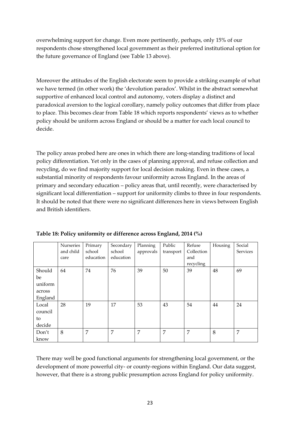overwhelming support for change. Even more pertinently, perhaps, only 15% of our respondents chose strengthened local government as their preferred institutional option for the future governance of England (see Table 13 above).

Moreover the attitudes of the English electorate seem to provide a striking example of what we have termed (in other work) the 'devolution paradox'. Whilst in the abstract somewhat supportive of enhanced local control and autonomy, voters display a distinct and paradoxical aversion to the logical corollary, namely policy outcomes that differ from place to place. This becomes clear from Table 18 which reports respondents' views as to whether policy should be uniform across England or should be a matter for each local council to decide.

The policy areas probed here are ones in which there are long-standing traditions of local policy differentiation. Yet only in the cases of planning approval, and refuse collection and recycling, do we find majority support for local decision making. Even in these cases, a substantial minority of respondents favour uniformity across England. In the areas of primary and secondary education – policy areas that, until recently, were characterised by significant local differentiation – support for uniformity climbs to three in four respondents. It should be noted that there were no significant differences here in views between English and British identifiers.

|         | Nurseries | Primary   | Secondary | Planning  | Public    | Refuse     | Housing | Social   |
|---------|-----------|-----------|-----------|-----------|-----------|------------|---------|----------|
|         | and child | school    | school    | approvals | transport | Collection |         | Services |
|         | care      | education | education |           |           | and        |         |          |
|         |           |           |           |           |           | recycling  |         |          |
| Should  | 64        | 74        | 76        | 39        | 50        | 39         | 48      | 69       |
| be      |           |           |           |           |           |            |         |          |
| uniform |           |           |           |           |           |            |         |          |
| across  |           |           |           |           |           |            |         |          |
| England |           |           |           |           |           |            |         |          |
| Local   | 28        | 19        | 17        | 53        | 43        | 54         | 44      | 24       |
| council |           |           |           |           |           |            |         |          |
| to      |           |           |           |           |           |            |         |          |
| decide  |           |           |           |           |           |            |         |          |
| Don't   | 8         | 7         | 7         | 7         | 7         | 7          | 8       | 7        |
| know    |           |           |           |           |           |            |         |          |

|  | Table 18: Policy uniformity or difference across England, 2014 (%) |  |
|--|--------------------------------------------------------------------|--|
|  |                                                                    |  |

There may well be good functional arguments for strengthening local government, or the development of more powerful city- or county-regions within England. Our data suggest, however, that there is a strong public presumption across England for policy uniformity.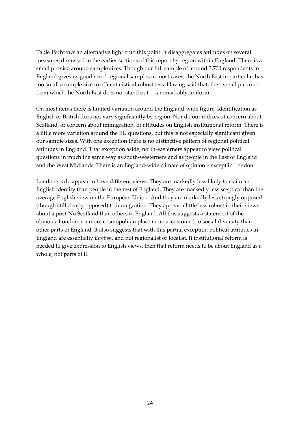Table 19 throws an alternative light onto this point. It disaggregates attitudes on several measures discussed in the earlier sections of this report by region within England. There is a small proviso around sample sizes. Though our full sample of around 3,700 respondents in England gives us good-sized regional samples in most cases, the North East in particular has too small a sample size to offer statistical robustness. Having said that, the overall picture – from which the North East does not stand out – is remarkably uniform.

On most items there is limited variation around the England-wide figure. Identification as English or British does not vary significantly by region. Nor do our indices of concern about Scotland, or concern about immigration, or attitudes on English institutional reform. There is a little more variation around the EU questions, but this is not especially significant given our sample sizes. With one exception there is no distinctive pattern of regional political attitudes in England. That exception aside, north-easterners appear to view political questions in much the same way as south-westerners and as people in the East of England and the West Midlands. There is an England-wide climate of opinion – except in London.

Londoners do appear to have different views. They are markedly less likely to claim an English identity than people in the rest of England. They are markedly less sceptical than the average English view on the European Union. And they are markedly less strongly opposed (though still clearly opposed) to immigration. They appear a little less robust in their views about a post-No Scotland than others in England. All this suggests a statement of the obvious: London is a more cosmopolitan place more accustomed to social diversity than other parts of England. It also suggests that with this partial exception political attitudes in England are essentially *English*, and not regionalist or localist. If institutional reform is needed to give expression to English views, then that reform needs to be about England as a whole, not parts of it.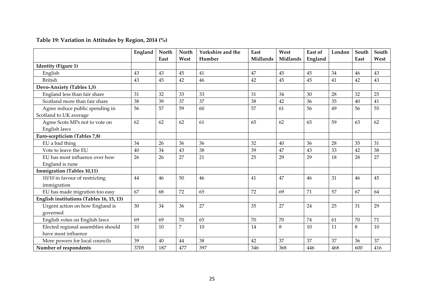|                                          | England | North | North          | Yorkshire and the | East            | West            | East of | London | South | South |
|------------------------------------------|---------|-------|----------------|-------------------|-----------------|-----------------|---------|--------|-------|-------|
|                                          |         | East  | West           | Humber            | <b>Midlands</b> | <b>Midlands</b> | England |        | East  | West  |
| <b>Identity (Figure 1)</b>               |         |       |                |                   |                 |                 |         |        |       |       |
| English                                  | 43      | 43    | 45             | 41                | 47              | 45              | 45      | 34     | 46    | 43    |
| <b>British</b>                           | 43      | 45    | 42             | 46                | 42              | 45              | 45      | 41     | 42    | 43    |
| Devo-Anxiety (Tables 1,5)                |         |       |                |                   |                 |                 |         |        |       |       |
| England less than fair share             | 31      | 32    | 33             | 33                | 31              | 34              | 30      | 28     | 32    | 25    |
| Scotland more than fair share            | 38      | 39    | 37             | 37                | 38              | 42              | 36      | 35     | 40    | 41    |
| Agree reduce public spending in          | 56      | 57    | 59             | 60                | 57              | 61              | 56      | 49     | 56    | 55    |
| Scotland to UK average                   |         |       |                |                   |                 |                 |         |        |       |       |
| Agree Scots MPs not to vote on           | 62      | 62    | 62             | 61                | 65              | 62              | 65      | 59     | 63    | 62    |
| English laws                             |         |       |                |                   |                 |                 |         |        |       |       |
| Euro-scepticism (Tables 7,8)             |         |       |                |                   |                 |                 |         |        |       |       |
| EU a bad thing                           | 34      | 26    | 36             | 36                | 32              | 40              | 36      | 28     | 35    | 31    |
| Vote to leave the EU                     | 40      | 34    | 43             | 38                | 39              | 47              | 43      | 33     | 42    | 38    |
| EU has most influence over how           | 26      | 26    | 27             | 21                | 25              | 29              | 29      | 18     | 28    | 27    |
| England is rune                          |         |       |                |                   |                 |                 |         |        |       |       |
| <b>Immigration (Tables 10,11)</b>        |         |       |                |                   |                 |                 |         |        |       |       |
| 10/10 in favour of restricting           | 44      | 46    | 50             | 46                | 41              | 47              | 46      | 31     | 46    | 45    |
| immigration                              |         |       |                |                   |                 |                 |         |        |       |       |
| EU has made migration too easy           | 67      | 68    | 72             | 65                | 72              | 69              | 71      | 57     | 67    | 64    |
| English institutions (Tables 16, 15, 13) |         |       |                |                   |                 |                 |         |        |       |       |
| Urgent action on how England is          | 30      | 34    | 36             | 27                | 35              | 27              | 24      | 25     | 31    | 29    |
| governed                                 |         |       |                |                   |                 |                 |         |        |       |       |
| English votes on English laws            | 69      | 69    | 70             | 65                | 70              | 70              | 74      | 61     | 70    | 71    |
| Elected regional assemblies should       | 10      | 10    | $\overline{7}$ | 10                | 14              | 8               | 10      | 11     | 8     | 10    |
| have most influence                      |         |       |                |                   |                 |                 |         |        |       |       |
| More powers for local councils           | 39      | 40    | 44             | 38                | 42              | 37              | 37      | 37     | 36    | 37    |
| Number of respondents                    | 3705    | 187   | 477            | 397               | 346             | 368             | 446     | 468    | 600   | 416   |

**Table 19: Variation in Attitudes by Region, 2014 (%)**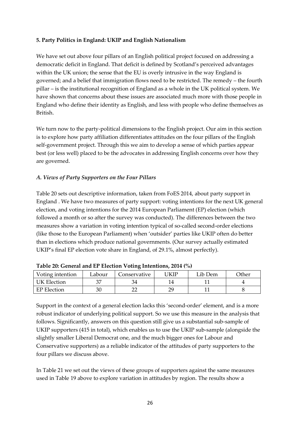#### **5. Party Politics in England: UKIP and English Nationalism**

We have set out above four pillars of an English political project focused on addressing a democratic deficit in England. That deficit is defined by Scotland's perceived advantages within the UK union; the sense that the EU is overly intrusive in the way England is governed; and a belief that immigration flows need to be restricted. The remedy – the fourth pillar – is the institutional recognition of England as a whole in the UK political system. We have shown that concerns about these issues are associated much more with those people in England who define their identity as English, and less with people who define themselves as British.

We turn now to the party-political dimensions to the English project. Our aim in this section is to explore how party affiliation differentiates attitudes on the four pillars of the English self-government project. Through this we aim to develop a sense of which parties appear best (or less well) placed to be the advocates in addressing English concerns over how they are governed.

#### *A. Views of Party Supporters on the Four Pillars*

Table 20 sets out descriptive information, taken from FoES 2014, about party support in England . We have two measures of party support: voting intentions for the next UK general election, and voting intentions for the 2014 European Parliament (EP) election (which followed a month or so after the survey was conducted). The differences between the two measures show a variation in voting intention typical of so-called second-order elections (like those to the European Parliament) when 'outsider' parties like UKIP often do better than in elections which produce national governments. (Our survey actually estimated UKIP's final EP election vote share in England, of 29.1%, almost perfectly).

| Voting intention   | Labour | Conservative | JKIP | Lib Dem | Other |  |  |  |
|--------------------|--------|--------------|------|---------|-------|--|--|--|
| UK Election        | ∼      |              |      |         |       |  |  |  |
| <b>EP Election</b> | 30     |              | bα   |         |       |  |  |  |

| Table 20: General and EP Election Voting Intentions, 2014 (%) |  |
|---------------------------------------------------------------|--|
|---------------------------------------------------------------|--|

Support in the context of a general election lacks this 'second-order' element, and is a more robust indicator of underlying political support. So we use this measure in the analysis that follows. Significantly, answers on this question still give us a substantial sub-sample of UKIP supporters (415 in total), which enables us to use the UKIP sub-sample (alongside the slightly smaller Liberal Democrat one, and the much bigger ones for Labour and Conservative supporters) as a reliable indicator of the attitudes of party supporters to the four pillars we discuss above.

In Table 21 we set out the views of these groups of supporters against the same measures used in Table 19 above to explore variation in attitudes by region. The results show a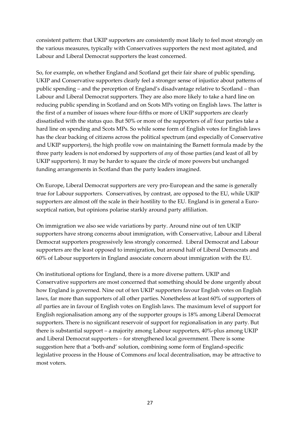consistent pattern: that UKIP supporters are consistently most likely to feel most strongly on the various measures, typically with Conservatives supporters the next most agitated, and Labour and Liberal Democrat supporters the least concerned.

So, for example, on whether England and Scotland get their fair share of public spending, UKIP and Conservative supporters clearly feel a stronger sense of injustice about patterns of public spending – and the perception of England's disadvantage relative to Scotland – than Labour and Liberal Democrat supporters. They are also more likely to take a hard line on reducing public spending in Scotland and on Scots MPs voting on English laws. The latter is the first of a number of issues where four-fifths or more of UKIP supporters are clearly dissatisfied with the status quo. But 50% or more of the supporters of *all* four parties take a hard line on spending and Scots MPs. So while some form of English votes for English laws has the clear backing of citizens across the political spectrum (and especially of Conservative and UKIP supporters), the high profile vow on maintaining the Barnett formula made by the three party leaders is not endorsed by supporters of *any* of those parties (and least of all by UKIP supporters). It may be harder to square the circle of more powers but unchanged funding arrangements in Scotland than the party leaders imagined.

On Europe, Liberal Democrat supporters are very pro-European and the same is generally true for Labour supporters. Conservatives, by contrast, are opposed to the EU, while UKIP supporters are almost off the scale in their hostility to the EU. England is in general a Eurosceptical nation, but opinions polarise starkly around party affiliation.

On immigration we also see wide variations by party. Around nine out of ten UKIP supporters have strong concerns about immigration, with Conservative, Labour and Liberal Democrat supporters progressively less strongly concerned. Liberal Democrat and Labour supporters are the least opposed to immigration, but around half of Liberal Democrats and 60% of Labour supporters in England associate concern about immigration with the EU.

On institutional options for England, there is a more diverse pattern. UKIP and Conservative supporters are most concerned that something should be done urgently about how England is governed. Nine out of ten UKIP supporters favour English votes on English laws, far more than supporters of all other parties. Nonetheless at least 60% of supporters of *all* parties are in favour of English votes on English laws. The maximum level of support for English regionalisation among any of the supporter groups is 18% among Liberal Democrat supporters. There is no significant reservoir of support for regionalisation in any party. But there is substantial support – a majority among Labour supporters, 40%-plus among UKIP and Liberal Democrat supporters – for strengthened local government. There is some suggestion here that a 'both-and' solution, combining some form of England-specific legislative process in the House of Commons *and* local decentralisation, may be attractive to most voters.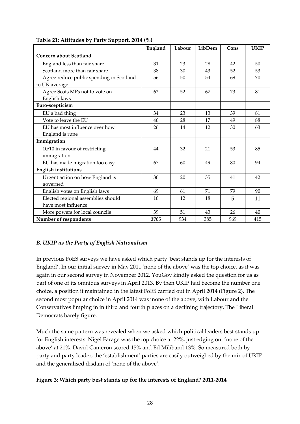|                                          | England | Labour | LibDem | Cons | <b>UKIP</b> |
|------------------------------------------|---------|--------|--------|------|-------------|
| <b>Concern about Scotland</b>            |         |        |        |      |             |
| England less than fair share             | 31      | 23     | 28     | 42   | 50          |
| Scotland more than fair share            | 38      | 30     | 43     | 52   | 53          |
| Agree reduce public spending in Scotland | 56      | 50     | 54     | 69   | 70          |
| to UK average                            |         |        |        |      |             |
| Agree Scots MPs not to vote on           | 62      | 52     | 67     | 73   | 81          |
| English laws                             |         |        |        |      |             |
| Euro-scepticism                          |         |        |        |      |             |
| EU a bad thing                           | 34      | 23     | 13     | 39   | 81          |
| Vote to leave the EU                     | 40      | 28     | 17     | 49   | 88          |
| EU has most influence over how           | 26      | 14     | 12     | 30   | 63          |
| England is rune                          |         |        |        |      |             |
| Immigration                              |         |        |        |      |             |
| 10/10 in favour of restricting           | 44      | 32     | 21     | 53   | 85          |
| immigration                              |         |        |        |      |             |
| EU has made migration too easy           | 67      | 60     | 49     | 80   | 94          |
| <b>English institutions</b>              |         |        |        |      |             |
| Urgent action on how England is          | 30      | 20     | 35     | 41   | 42          |
| governed                                 |         |        |        |      |             |
| English votes on English laws            | 69      | 61     | 71     | 79   | 90          |
| Elected regional assemblies should       | 10      | 12     | 18     | 5    | 11          |
| have most influence                      |         |        |        |      |             |
| More powers for local councils           | 39      | 51     | 43     | 26   | 40          |
| Number of respondents                    | 3705    | 934    | 385    | 969  | 415         |

#### **Table 21: Attitudes by Party Support, 2014 (%)**

#### *B. UKIP as the Party of English Nationalism*

In previous FoES surveys we have asked which party 'best stands up for the interests of England'. In our initial survey in May 2011 'none of the above' was the top choice, as it was again in our second survey in November 2012. YouGov kindly asked the question for us as part of one of its omnibus surveys in April 2013. By then UKIP had become the number one choice, a position it maintained in the latest FoES carried out in April 2014 (Figure 2). The second most popular choice in April 2014 was 'none of the above, with Labour and the Conservatives limping in in third and fourth places on a declining trajectory. The Liberal Democrats barely figure.

Much the same pattern was revealed when we asked which political leaders best stands up for English interests. Nigel Farage was the top choice at 22%, just edging out 'none of the above' at 21%. David Cameron scored 15% and Ed Miliband 13%. So measured both by party and party leader, the 'establishment' parties are easily outweighed by the mix of UKIP and the generalised disdain of 'none of the above'.

#### **Figure 3: Which party best stands up for the interests of England? 2011-2014**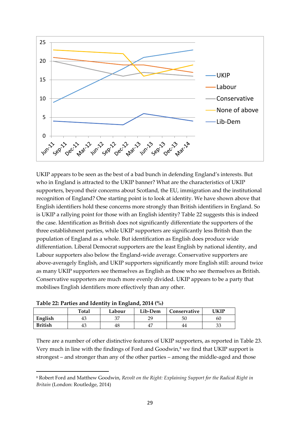

UKIP appears to be seen as the best of a bad bunch in defending England's interests. But who in England is attracted to the UKIP banner? What are the characteristics of UKIP supporters, beyond their concerns about Scotland, the EU, immigration and the institutional recognition of England? One starting point is to look at identity. We have shown above that English identifiers hold these concerns more strongly than British identifiers in England. So is UKIP a rallying point for those with an English identity? Table 22 suggests this is indeed the case. Identification as British does not significantly differentiate the supporters of the three establishment parties, while UKIP supporters are significantly less British than the population of England as a whole. But identification as English does produce wide differentiation. Liberal Democrat supporters are the least English by national identity, and Labour supporters also below the England-wide average. Conservative supporters are above-averagely English, and UKIP supporters significantly more English still: around twice as many UKIP supporters see themselves as English as those who see themselves as British. Conservative supporters are much more evenly divided. UKIP appears to be a party that mobilises English identifiers more effectively than any other.

| Table 22. I arries and fuentity in England, 2014 (70) |              |        |                         |    |    |  |  |  |
|-------------------------------------------------------|--------------|--------|-------------------------|----|----|--|--|--|
|                                                       | <b>Total</b> | Labour | Lib-Dem<br>Conservative |    |    |  |  |  |
| English                                               | 43           |        | າ໑                      | 50 | 60 |  |  |  |
| <b>British</b>                                        | 43           | 48     |                         | 44 |    |  |  |  |

1

There are a number of other distinctive features of UKIP supporters, as reported in Table 23. Very much in line with the findings of Ford and Goodwin,<sup>8</sup> we find that UKIP support is strongest – and stronger than any of the other parties – among the middle-aged and those

<sup>8</sup> Robert Ford and Matthew Goodwin, *Revolt on the Right: Explaining Support for the Radical Right in Britain* (London: Routledge, 2014)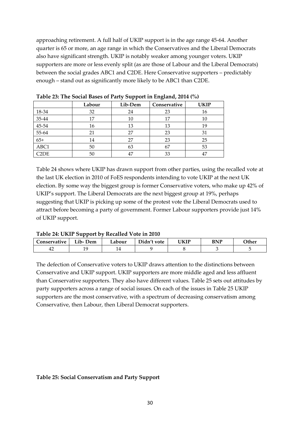approaching retirement. A full half of UKIP support is in the age range 45-64. Another quarter is 65 or more, an age range in which the Conservatives and the Liberal Democrats also have significant strength. UKIP is notably weaker among younger voters. UKIP supporters are more or less evenly split (as are those of Labour and the Liberal Democrats) between the social grades ABC1 and C2DE. Here Conservative supporters – predictably enough – stand out as significantly more likely to be ABC1 than C2DE.

|                               | Labour | Lib-Dem | Conservative | <b>UKIP</b> |
|-------------------------------|--------|---------|--------------|-------------|
| 18-34                         | 32     | 24      | 23           | 16          |
| 35-44                         | 17     | 10      | 17           | 10          |
| 45-54                         | 16     | 13      | 13           | 19          |
| $55-64$                       | 21     | 27      | 23           | 31          |
| $65+$                         | 14     | 27      | 23           | 25          |
| ABC1                          | 50     | 63      | 67           | 53          |
| C <sub>2</sub> D <sub>E</sub> | 50     | 47      | 33           | 47          |

**Table 23: The Social Bases of Party Support in England, 2014 (%)**

Table 24 shows where UKIP has drawn support from other parties, using the recalled vote at the last UK election in 2010 of FoES respondents intending to vote UKIP at the next UK election. By some way the biggest group is former Conservative voters, who make up 42% of UKIP's support. The Liberal Democrats are the next biggest group at 19%, perhaps suggesting that UKIP is picking up some of the protest vote the Liberal Democrats used to attract before becoming a party of government. Former Labour supporters provide just 14% of UKIP support.

#### **Table 24: UKIP Support by Recalled Vote in 2010**

| _onservative | $ -$<br>Dem<br>$\mathbf{L}$ 10- $\mathbf{L}$ | Labour | n'i<br>)idn't vote | <b>UKIP</b> | BNP | <b>Other</b> |
|--------------|----------------------------------------------|--------|--------------------|-------------|-----|--------------|
| 44           | 10<br>ᆠ                                      |        |                    |             |     |              |

The defection of Conservative voters to UKIP draws attention to the distinctions between Conservative and UKIP support. UKIP supporters are more middle aged and less affluent than Conservative supporters. They also have different values. Table 25 sets out attitudes by party supporters across a range of social issues. On each of the issues in Table 25 UKIP supporters are the most conservative, with a spectrum of decreasing conservatism among Conservative, then Labour, then Liberal Democrat supporters.

#### **Table 25: Social Conservatism and Party Support**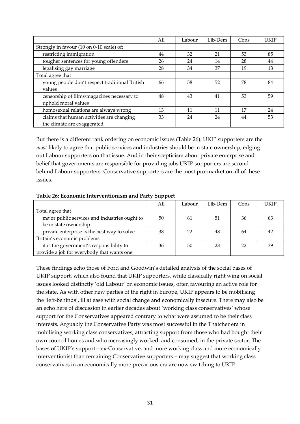|                                                | All | Labour | Lib-Dem | Cons | <b>UKIP</b> |
|------------------------------------------------|-----|--------|---------|------|-------------|
| Strongly in favour (10 on 0-10 scale) of:      |     |        |         |      |             |
| restricting immigration                        | 44  | 32     | 21      | 53   | 85          |
| tougher sentences for young offenders          | 26  | 24     | 14      | 28   | 44          |
| legalising gay marriage                        | 28  | 34     | 37      | 19   | 13          |
| Total agree that                               |     |        |         |      |             |
| young people don't respect traditional British | 66  | 58     | 52      | 78   | 84          |
| values                                         |     |        |         |      |             |
| censorship of films/magazines necessary to     | 48  | 43     | 41      | 53   | 59          |
| uphold moral values                            |     |        |         |      |             |
| homosexual relations are always wrong          | 13  | 11     | 11      | 17   | 24          |
| claims that human activities are changing      | 33  | 24     | 24      | 44   | 53          |
| the climate are exaggerated                    |     |        |         |      |             |

But there is a different rank ordering on economic issues (Table 26). UKIP supporters are the *most* likely to agree that public services and industries should be in state ownership, edging out Labour supporters on that issue. And in their scepticism about private enterprise and belief that governments are responsible for providing jobs UKIP supporters are second behind Labour supporters. Conservative supporters are the most pro-market on all of these issues.

#### **Table 26: Economic Interventionism and Party Support**

|                                               | All | Labour | Lib-Dem | Cons | UKIP |
|-----------------------------------------------|-----|--------|---------|------|------|
| Total agree that                              |     |        |         |      |      |
| major public services and industries ought to | 50  | 61     | 51      | 36   | 63   |
| be in state ownership                         |     |        |         |      |      |
| private enterprise is the best way to solve   | 38  | 22     | 48      | 64   | 42   |
| Britain's economic problems                   |     |        |         |      |      |
| it is the government's responsibility to      | 36  | 50     | 28      | フフ   | 39   |
| provide a job for everybody that wants one    |     |        |         |      |      |

These findings echo those of Ford and Goodwin's detailed analysis of the social bases of UKIP support, which also found that UKIP supporters, while classically right wing on social issues looked distinctly 'old Labour' on economic issues, often favouring an active role for the state. As with other new parties of the right in Europe, UKIP appears to be mobilising the 'left-behinds', ill at ease with social change and economically insecure. There may also be an echo here of discussion in earlier decades about 'working class conservatives' whose support for the Conservatives appeared contrary to what were assumed to be their class interests. Arguably the Conservative Party was most successful in the Thatcher era in mobilising working class conservatives, attracting support from those who had bought their own council homes and who increasingly worked, and consumed, in the private sector. The bases of UKIP's support – ex-Conservative, and more working class and more economically interventionist than remaining Conservative supporters – may suggest that working class conservatives in an economically more precarious era are now switching to UKIP.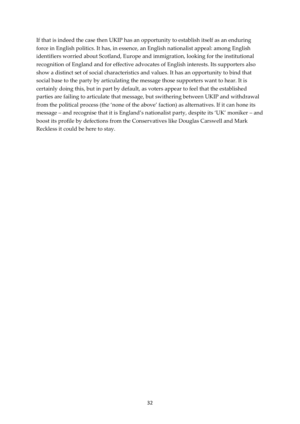If that is indeed the case then UKIP has an opportunity to establish itself as an enduring force in English politics. It has, in essence, an English nationalist appeal: among English identifiers worried about Scotland, Europe and immigration, looking for the institutional recognition of England and for effective advocates of English interests. Its supporters also show a distinct set of social characteristics and values. It has an opportunity to bind that social base to the party by articulating the message those supporters want to hear. It is certainly doing this, but in part by default, as voters appear to feel that the established parties are failing to articulate that message, but swithering between UKIP and withdrawal from the political process (the 'none of the above' faction) as alternatives. If it can hone its message – and recognise that it is England's nationalist party, despite its 'UK' moniker – and boost its profile by defections from the Conservatives like Douglas Carswell and Mark Reckless it could be here to stay.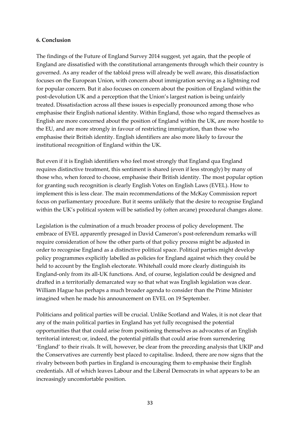#### **6. Conclusion**

The findings of the Future of England Survey 2014 suggest, yet again, that the people of England are dissatisfied with the constitutional arrangements through which their country is governed. As any reader of the tabloid press will already be well aware, this dissatisfaction focuses on the European Union, with concern about immigration serving as a lightning rod for popular concern. But it also focuses on concern about the position of England within the post-devolution UK and a perception that the Union's largest nation is being unfairly treated. Dissatisfaction across all these issues is especially pronounced among those who emphasise their English national identity. Within England, those who regard themselves as English are more concerned about the position of England within the UK, are more hostile to the EU, and are more strongly in favour of restricting immigration, than those who emphasise their British identity. English identifiers are also more likely to favour the institutional recognition of England within the UK.

But even if it is English identifiers who feel most strongly that England qua England requires distinctive treatment, this sentiment is shared (even if less strongly) by many of those who, when forced to choose, emphasise their British identity. The most popular option for granting such recognition is clearly English Votes on English Laws (EVEL). How to implement this is less clear. The main recommendations of the McKay Commission report focus on parliamentary procedure. But it seems unlikely that the desire to recognise England within the UK's political system will be satisfied by (often arcane) procedural changes alone.

Legislation is the culmination of a much broader process of policy development. The embrace of EVEL apparently presaged in David Cameron's post-referendum remarks will require consideration of how the other parts of that policy process might be adjusted in order to recognise England as a distinctive political space. Political parties might develop policy programmes explicitly labelled as policies for England against which they could be held to account by the English electorate. Whitehall could more clearly distinguish its England-only from its all-UK functions. And, of course, legislation could be designed and drafted in a territorially demarcated way so that what was English legislation was clear. William Hague has perhaps a much broader agenda to consider than the Prime Minister imagined when he made his announcement on EVEL on 19 September.

Politicians and political parties will be crucial. Unlike Scotland and Wales, it is not clear that any of the main political parties in England has yet fully recognised the potential opportunities that that could arise from positioning themselves as advocates of an English territorial interest; or, indeed, the potential pitfalls that could arise from surrendering 'England' to their rivals. It will, however, be clear from the preceding analysis that UKIP and the Conservatives are currently best placed to capitalise. Indeed, there are now signs that the rivalry between both parties in England is encouraging them to emphasise their English credentials. All of which leaves Labour and the Liberal Democrats in what appears to be an increasingly uncomfortable position.